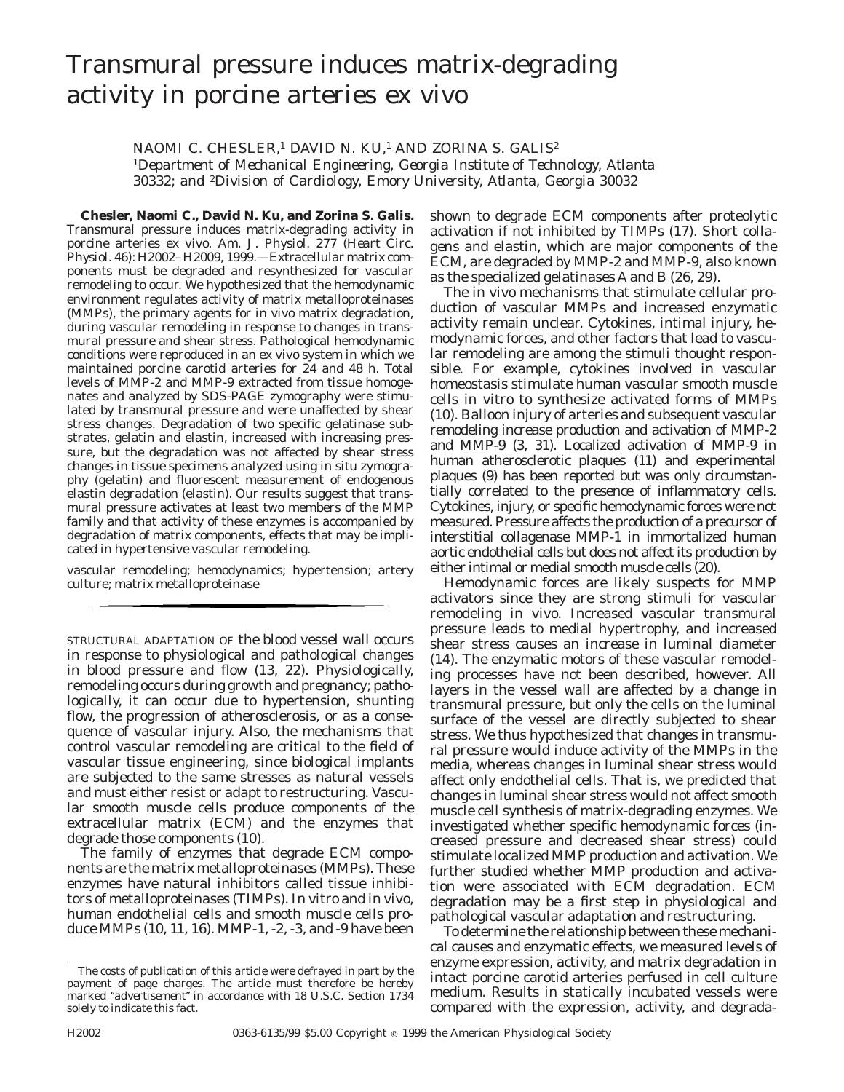# Transmural pressure induces matrix-degrading activity in porcine arteries ex vivo

NAOMI C. CHESLER,<sup>1</sup> DAVID N. KU,<sup>1</sup> AND ZORINA S. GALIS<sup>2</sup>

<sup>1</sup>*Department of Mechanical Engineering, Georgia Institute of Technology, Atlanta 30332; and* <sup>2</sup>*Division of Cardiology, Emory University, Atlanta, Georgia 30032*

**Chesler, Naomi C., David N. Ku, and Zorina S. Galis.** Transmural pressure induces matrix-degrading activity in porcine arteries ex vivo. *Am. J. Physiol.* 277 (*Heart Circ. Physiol.* 46): H2002–H2009, 1999.—Extracellular matrix components must be degraded and resynthesized for vascular remodeling to occur. We hypothesized that the hemodynamic environment regulates activity of matrix metalloproteinases (MMPs), the primary agents for in vivo matrix degradation, during vascular remodeling in response to changes in transmural pressure and shear stress. Pathological hemodynamic conditions were reproduced in an ex vivo system in which we maintained porcine carotid arteries for 24 and 48 h. Total levels of MMP-2 and MMP-9 extracted from tissue homogenates and analyzed by SDS-PAGE zymography were stimulated by transmural pressure and were unaffected by shear stress changes. Degradation of two specific gelatinase substrates, gelatin and elastin, increased with increasing pressure, but the degradation was not affected by shear stress changes in tissue specimens analyzed using in situ zymography (gelatin) and fluorescent measurement of endogenous elastin degradation (elastin). Our results suggest that transmural pressure activates at least two members of the MMP family and that activity of these enzymes is accompanied by degradation of matrix components, effects that may be implicated in hypertensive vascular remodeling.

vascular remodeling; hemodynamics; hypertension; artery culture; matrix metalloproteinase

STRUCTURAL ADAPTATION OF the blood vessel wall occurs in response to physiological and pathological changes in blood pressure and flow (13, 22). Physiologically, remodeling occurs during growth and pregnancy; pathologically, it can occur due to hypertension, shunting flow, the progression of atherosclerosis, or as a consequence of vascular injury. Also, the mechanisms that control vascular remodeling are critical to the field of vascular tissue engineering, since biological implants are subjected to the same stresses as natural vessels and must either resist or adapt to restructuring. Vascular smooth muscle cells produce components of the extracellular matrix (ECM) and the enzymes that degrade those components (10).

The family of enzymes that degrade ECM components are the matrix metalloproteinases (MMPs). These enzymes have natural inhibitors called tissue inhibitors of metalloproteinases (TIMPs). In vitro and in vivo, human endothelial cells and smooth muscle cells produce MMPs (10, 11, 16). MMP-1, -2, -3, and -9 have been shown to degrade ECM components after proteolytic activation if not inhibited by TIMPs (17). Short collagens and elastin, which are major components of the ECM, are degraded by MMP-2 and MMP-9, also known as the specialized gelatinases A and B (26, 29).

The in vivo mechanisms that stimulate cellular production of vascular MMPs and increased enzymatic activity remain unclear. Cytokines, intimal injury, hemodynamic forces, and other factors that lead to vascular remodeling are among the stimuli thought responsible. For example, cytokines involved in vascular homeostasis stimulate human vascular smooth muscle cells in vitro to synthesize activated forms of MMPs (10). Balloon injury of arteries and subsequent vascular remodeling increase production and activation of MMP-2 and MMP-9 (3, 31). Localized activation of MMP-9 in human atherosclerotic plaques (11) and experimental plaques (9) has been reported but was only circumstantially correlated to the presence of inflammatory cells. Cytokines, injury, or specific hemodynamic forces were not measured. Pressure affects the production of a precursor of interstitial collagenase MMP-1 in immortalized human aortic endothelial cells but does not affect its production by either intimal or medial smooth muscle cells (20).

Hemodynamic forces are likely suspects for MMP activators since they are strong stimuli for vascular remodeling in vivo. Increased vascular transmural pressure leads to medial hypertrophy, and increased shear stress causes an increase in luminal diameter (14). The enzymatic motors of these vascular remodeling processes have not been described, however. All layers in the vessel wall are affected by a change in transmural pressure, but only the cells on the luminal surface of the vessel are directly subjected to shear stress. We thus hypothesized that changes in transmural pressure would induce activity of the MMPs in the media, whereas changes in luminal shear stress would affect only endothelial cells. That is, we predicted that changes in luminal shear stress would not affect smooth muscle cell synthesis of matrix-degrading enzymes. We investigated whether specific hemodynamic forces (increased pressure and decreased shear stress) could stimulate localized MMP production and activation. We further studied whether MMP production and activation were associated with ECM degradation. ECM degradation may be a first step in physiological and pathological vascular adaptation and restructuring.

To determine the relationship between these mechanical causes and enzymatic effects, we measured levels of enzyme expression, activity, and matrix degradation in intact porcine carotid arteries perfused in cell culture medium. Results in statically incubated vessels were compared with the expression, activity, and degrada-

The costs of publication of this article were defrayed in part by the payment of page charges. The article must therefore be hereby marked ''*advertisement*'' in accordance with 18 U.S.C. Section 1734 solely to indicate this fact.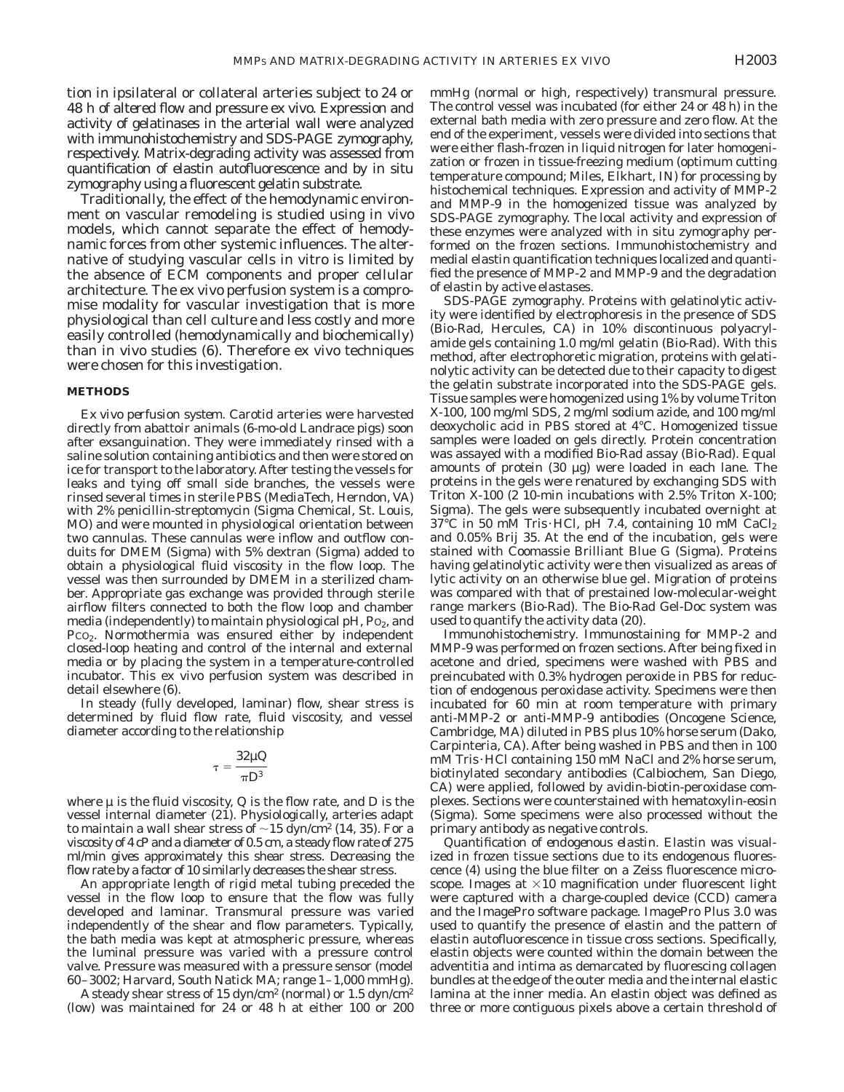tion in ipsilateral or collateral arteries subject to 24 or 48 h of altered flow and pressure ex vivo. Expression and activity of gelatinases in the arterial wall were analyzed with immunohistochemistry and SDS-PAGE zymography, respectively. Matrix-degrading activity was assessed from quantification of elastin autofluorescence and by in situ zymography using a fluorescent gelatin substrate.

Traditionally, the effect of the hemodynamic environment on vascular remodeling is studied using in vivo models, which cannot separate the effect of hemodynamic forces from other systemic influences. The alternative of studying vascular cells in vitro is limited by the absence of ECM components and proper cellular architecture. The ex vivo perfusion system is a compromise modality for vascular investigation that is more physiological than cell culture and less costly and more easily controlled (hemodynamically and biochemically) than in vivo studies (6). Therefore ex vivo techniques were chosen for this investigation.

## **METHODS**

*Ex vivo perfusion system*. Carotid arteries were harvested directly from abattoir animals (6-mo-old Landrace pigs) soon after exsanguination. They were immediately rinsed with a saline solution containing antibiotics and then were stored on ice for transport to the laboratory. After testing the vessels for leaks and tying off small side branches, the vessels were rinsed several times in sterile PBS (MediaTech, Herndon, VA) with 2% penicillin-streptomycin (Sigma Chemical, St. Louis, MO) and were mounted in physiological orientation between two cannulas. These cannulas were inflow and outflow conduits for DMEM (Sigma) with 5% dextran (Sigma) added to obtain a physiological fluid viscosity in the flow loop. The vessel was then surrounded by DMEM in a sterilized chamber. Appropriate gas exchange was provided through sterile airflow filters connected to both the flow loop and chamber media (independently) to maintain physiological pH,  $Po_2$ , and Pco<sub>2</sub>. Normothermia was ensured either by independent closed-loop heating and control of the internal and external media or by placing the system in a temperature-controlled incubator. This ex vivo perfusion system was described in detail elsewhere (6).

In steady (fully developed, laminar) flow, shear stress is determined by fluid flow rate, fluid viscosity, and vessel diameter according to the relationship

$$
\tau = \frac{32\mu Q}{\pi D^3}
$$

where µ is the fluid viscosity, *Q* is the flow rate, and *D* is the vessel internal diameter (21). Physiologically, arteries adapt to maintain a wall shear stress of  $\sim$ 15 dyn/cm<sup>2</sup> (14, 35). For a viscosity of 4 cP and a diameter of 0.5 cm, a steady flow rate of 275 ml/min gives approximately this shear stress. Decreasing the flow rate by a factor of 10 similarly decreases the shear stress.

An appropriate length of rigid metal tubing preceded the vessel in the flow loop to ensure that the flow was fully developed and laminar. Transmural pressure was varied independently of the shear and flow parameters. Typically, the bath media was kept at atmospheric pressure, whereas the luminal pressure was varied with a pressure control valve. Pressure was measured with a pressure sensor (model 60–3002; Harvard, South Natick MA; range 1–1,000 mmHg).

A steady shear stress of 15 dyn/cm<sup>2</sup> (normal) or 1.5 dyn/cm<sup>2</sup> (low) was maintained for 24 or 48 h at either 100 or 200 mmHg (normal or high, respectively) transmural pressure. The control vessel was incubated (for either 24 or 48 h) in the external bath media with zero pressure and zero flow. At the end of the experiment, vessels were divided into sections that were either flash-frozen in liquid nitrogen for later homogenization or frozen in tissue-freezing medium (optimum cutting temperature compound; Miles, Elkhart, IN) for processing by histochemical techniques. Expression and activity of MMP-2 and MMP-9 in the homogenized tissue was analyzed by SDS-PAGE zymography. The local activity and expression of these enzymes were analyzed with in situ zymography performed on the frozen sections. Immunohistochemistry and medial elastin quantification techniques localized and quantified the presence of MMP-2 and MMP-9 and the degradation of elastin by active elastases.

*SDS-PAGE zymography*. Proteins with gelatinolytic activity were identified by electrophoresis in the presence of SDS (Bio-Rad, Hercules, CA) in 10% discontinuous polyacrylamide gels containing 1.0 mg/ml gelatin (Bio-Rad). With this method, after electrophoretic migration, proteins with gelatinolytic activity can be detected due to their capacity to digest the gelatin substrate incorporated into the SDS-PAGE gels. Tissue samples were homogenized using 1% by volume Triton X-100, 100 mg/ml SDS, 2 mg/ml sodium azide, and 100 mg/ml deoxycholic acid in PBS stored at 4°C. Homogenized tissue samples were loaded on gels directly. Protein concentration was assayed with a modified Bio-Rad assay (Bio-Rad). Equal amounts of protein (30 µg) were loaded in each lane. The proteins in the gels were renatured by exchanging SDS with Triton X-100 (2 10-min incubations with 2.5% Triton X-100; Sigma). The gels were subsequently incubated overnight at 37°C in 50 mM Tris·HCl, pH 7.4, containing 10 mM CaCl2 and 0.05% Brij 35. At the end of the incubation, gels were stained with Coomassie Brilliant Blue G (Sigma). Proteins having gelatinolytic activity were then visualized as areas of lytic activity on an otherwise blue gel. Migration of proteins was compared with that of prestained low-molecular-weight range markers (Bio-Rad). The Bio-Rad Gel-Doc system was used to quantify the activity data (20).

*Immunohistochemistry*. Immunostaining for MMP-2 and MMP-9 was performed on frozen sections. After being fixed in acetone and dried, specimens were washed with PBS and preincubated with 0.3% hydrogen peroxide in PBS for reduction of endogenous peroxidase activity. Specimens were then incubated for 60 min at room temperature with primary anti-MMP-2 or anti-MMP-9 antibodies (Oncogene Science, Cambridge, MA) diluted in PBS plus 10% horse serum (Dako, Carpinteria, CA). After being washed in PBS and then in 100 mM Tris·HCl containing 150 mM NaCl and 2% horse serum, biotinylated secondary antibodies (Calbiochem, San Diego, CA) were applied, followed by avidin-biotin-peroxidase complexes. Sections were counterstained with hematoxylin-eosin (Sigma). Some specimens were also processed without the primary antibody as negative controls.

*Quantification of endogenous elastin*. Elastin was visualized in frozen tissue sections due to its endogenous fluorescence (4) using the blue filter on a Zeiss fluorescence microscope. Images at  $\times 10$  magnification under fluorescent light were captured with a charge-coupled device (CCD) camera and the ImagePro software package. ImagePro Plus 3.0 was used to quantify the presence of elastin and the pattern of elastin autofluorescence in tissue cross sections. Specifically, elastin objects were counted within the domain between the adventitia and intima as demarcated by fluorescing collagen bundles at the edge of the outer media and the internal elastic lamina at the inner media. An elastin object was defined as three or more contiguous pixels above a certain threshold of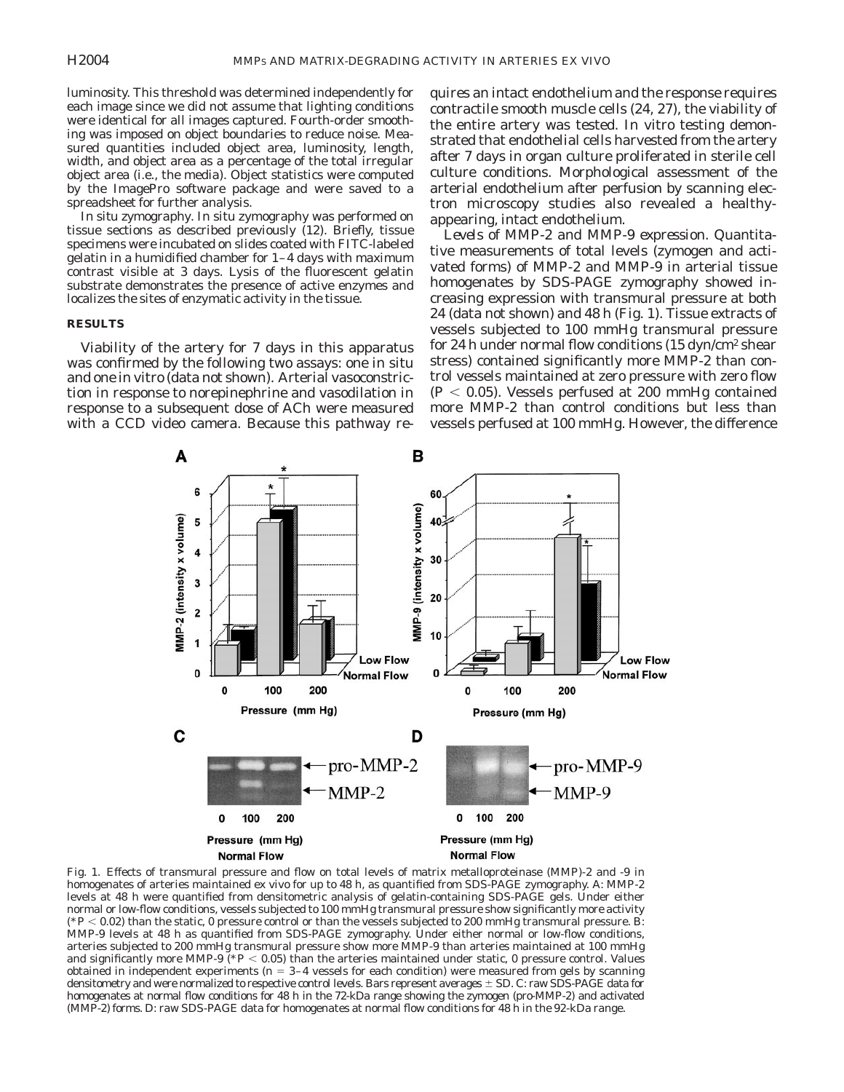luminosity. This threshold was determined independently for each image since we did not assume that lighting conditions were identical for all images captured. Fourth-order smoothing was imposed on object boundaries to reduce noise. Measured quantities included object area, luminosity, length, width, and object area as a percentage of the total irregular object area (i.e., the media). Object statistics were computed by the ImagePro software package and were saved to a spreadsheet for further analysis.

*In situ zymography*. In situ zymography was performed on tissue sections as described previously (12). Briefly, tissue specimens were incubated on slides coated with FITC-labeled gelatin in a humidified chamber for 1–4 days with maximum contrast visible at 3 days. Lysis of the fluorescent gelatin substrate demonstrates the presence of active enzymes and localizes the sites of enzymatic activity in the tissue.

### **RESULTS**

Viability of the artery for 7 days in this apparatus was confirmed by the following two assays: one in situ and one in vitro (data not shown). Arterial vasoconstriction in response to norepinephrine and vasodilation in response to a subsequent dose of ACh were measured with a CCD video camera. Because this pathway requires an intact endothelium and the response requires contractile smooth muscle cells (24, 27), the viability of the entire artery was tested. In vitro testing demonstrated that endothelial cells harvested from the artery after 7 days in organ culture proliferated in sterile cell culture conditions. Morphological assessment of the arterial endothelium after perfusion by scanning electron microscopy studies also revealed a healthyappearing, intact endothelium.

*Levels of MMP-2 and MMP-9 expression*. Quantitative measurements of total levels (zymogen and activated forms) of MMP-2 and MMP-9 in arterial tissue homogenates by SDS-PAGE zymography showed increasing expression with transmural pressure at both 24 (data not shown) and 48 h (Fig. 1). Tissue extracts of vessels subjected to 100 mmHg transmural pressure for 24 h under normal flow conditions (15 dyn/cm2 shear stress) contained significantly more MMP-2 than control vessels maintained at zero pressure with zero flow  $(P < 0.05)$ . Vessels perfused at 200 mmHg contained more MMP-2 than control conditions but less than vessels perfused at 100 mmHg. However, the difference



Fig. 1. Effects of transmural pressure and flow on total levels of matrix metalloproteinase (MMP)-2 and -9 in homogenates of arteries maintained ex vivo for up to 48 h, as quantified from SDS-PAGE zymography. *A*: MMP-2 levels at 48 h were quantified from densitometric analysis of gelatin-containing SDS-PAGE gels. Under either normal or low-flow conditions, vessels subjected to 100 mmHg transmural pressure show significantly more activity (\*  $P$  < 0.02) than the static, 0 pressure control or than the vessels subjected to 200 mmHg transmural pressure.  $\ddot{B}$ : MMP-9 levels at 48 h as quantified from SDS-PAGE zymography. Under either normal or low-flow conditions, arteries subjected to 200 mmHg transmural pressure show more MMP-9 than arteries maintained at 100 mmHg and significantly more MMP-9 ( $*P < 0.05$ ) than the arteries maintained under static, 0 pressure control. Values obtained in independent experiments ( $n = 3-4$  vessels for each condition) were measured from gels by scanning densitometry and were normalized to respective control levels. Bars represent averages  $\pm$  SD. *C*: raw SDS-PAGE data for homogenates at normal flow conditions for 48 h in the 72-kDa range showing the zymogen (pro-MMP-2) and activated (MMP-2) forms. *D*: raw SDS-PAGE data for homogenates at normal flow conditions for 48 h in the 92-kDa range.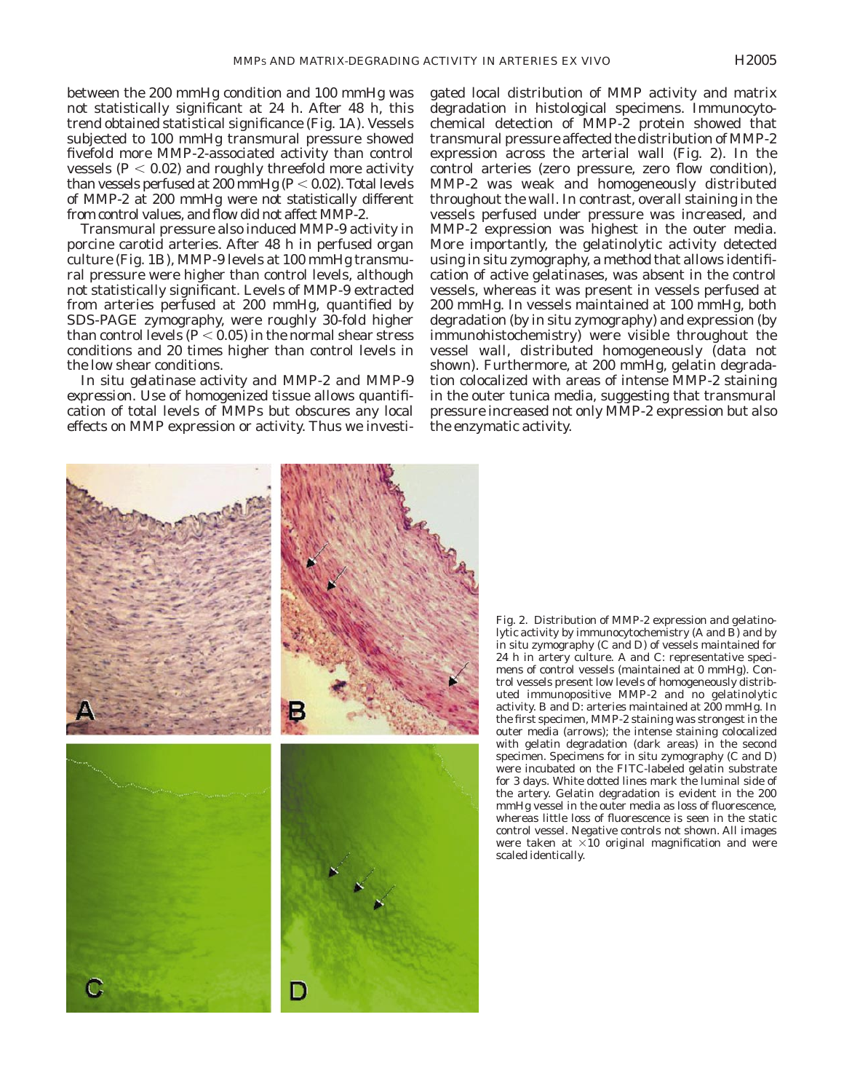between the 200 mmHg condition and 100 mmHg was not statistically significant at 24 h. After 48 h, this trend obtained statistical significance (Fig. 1*A*). Vessels subjected to 100 mmHg transmural pressure showed fivefold more MMP-2-associated activity than control vessels ( $P < 0.02$ ) and roughly threefold more activity than vessels perfused at 200 mmHg  $(P< 0.02)$ . Total levels of MMP-2 at 200 mmHg were not statistically different from control values, and flow did not affect MMP-2.

Transmural pressure also induced MMP-9 activity in porcine carotid arteries. After 48 h in perfused organ culture (Fig. 1*B*), MMP-9 levels at 100 mmHg transmural pressure were higher than control levels, although not statistically significant. Levels of MMP-9 extracted from arteries perfused at 200 mmHg, quantified by SDS-PAGE zymography, were roughly 30-fold higher than control levels ( $P < 0.05$ ) in the normal shear stress conditions and 20 times higher than control levels in the low shear conditions.

*In situ gelatinase activity and MMP-2 and MMP-9 expression*. Use of homogenized tissue allows quantification of total levels of MMPs but obscures any local effects on MMP expression or activity. Thus we investigated local distribution of MMP activity and matrix degradation in histological specimens. Immunocytochemical detection of MMP-2 protein showed that transmural pressure affected the distribution of MMP-2 expression across the arterial wall (Fig. 2). In the control arteries (zero pressure, zero flow condition), MMP-2 was weak and homogeneously distributed throughout the wall. In contrast, overall staining in the vessels perfused under pressure was increased, and MMP-2 expression was highest in the outer media. More importantly, the gelatinolytic activity detected using in situ zymography, a method that allows identification of active gelatinases, was absent in the control vessels, whereas it was present in vessels perfused at 200 mmHg. In vessels maintained at 100 mmHg, both degradation (by in situ zymography) and expression (by immunohistochemistry) were visible throughout the vessel wall, distributed homogeneously (data not shown). Furthermore, at 200 mmHg, gelatin degradation colocalized with areas of intense MMP-2 staining in the outer tunica media, suggesting that transmural pressure increased not only MMP-2 expression but also the enzymatic activity.



Fig. 2. Distribution of MMP-2 expression and gelatinolytic activity by immunocytochemistry (*A* and *B*) and by in situ zymography (*C* and *D*) of vessels maintained for 24 h in artery culture. *A* and *C*: representative specimens of control vessels (maintained at 0 mmHg). Control vessels present low levels of homogeneously distributed immunopositive MMP-2 and no gelatinolytic activity. *B* and *D*: arteries maintained at 200 mmHg. In the first specimen, MMP-2 staining was strongest in the outer media (arrows); the intense staining colocalized with gelatin degradation (dark areas) in the second specimen. Specimens for in situ zymography (*C* and *D)* were incubated on the FITC-labeled gelatin substrate for 3 days. White dotted lines mark the luminal side of the artery. Gelatin degradation is evident in the 200 mmHg vessel in the outer media as loss of fluorescence, whereas little loss of fluorescence is seen in the static control vessel. Negative controls not shown. All images were taken at  $\times 10$  original magnification and were scaled identically.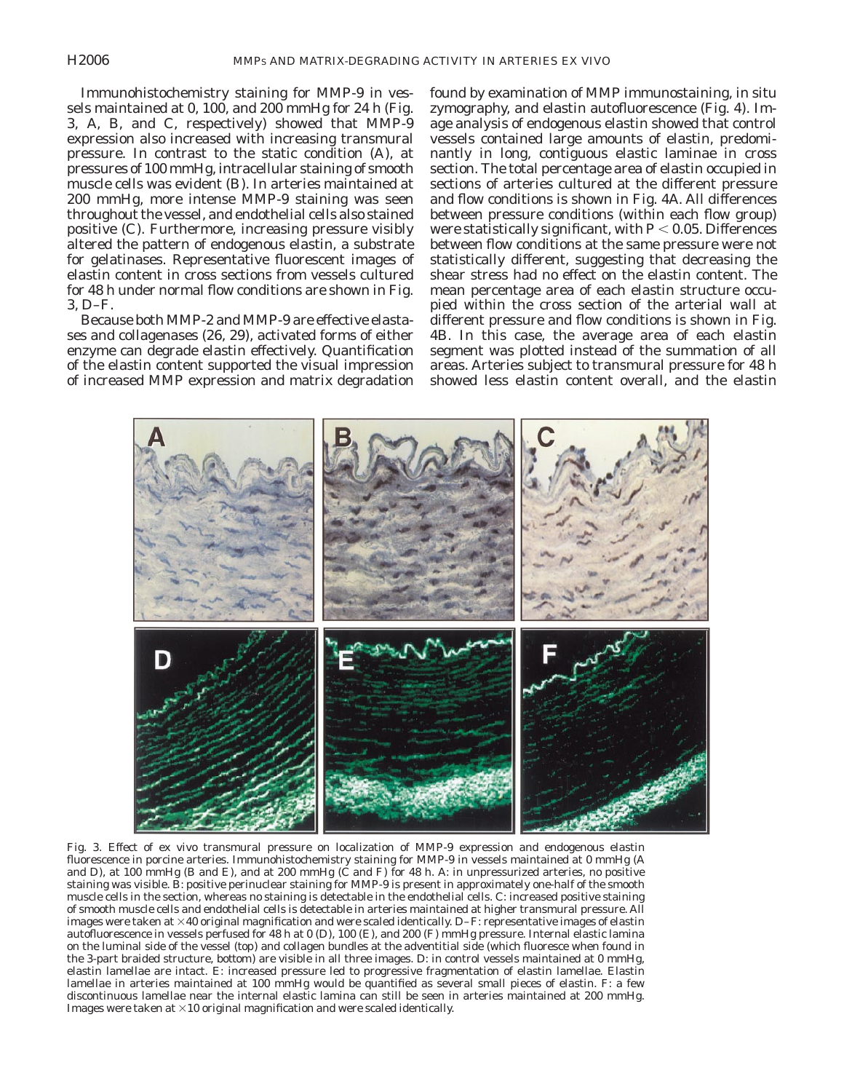Immunohistochemistry staining for MMP-9 in vessels maintained at 0, 100, and 200 mmHg for 24 h (Fig. 3, *A*, *B*, and *C*, respectively) showed that MMP-9 expression also increased with increasing transmural pressure. In contrast to the static condition (*A*), at pressures of 100 mmHg, intracellular staining of smooth muscle cells was evident (*B*). In arteries maintained at 200 mmHg, more intense MMP-9 staining was seen throughout the vessel, and endothelial cells also stained positive (*C*). Furthermore, increasing pressure visibly altered the pattern of endogenous elastin, a substrate for gelatinases. Representative fluorescent images of elastin content in cross sections from vessels cultured for 48 h under normal flow conditions are shown in Fig. 3, *D–F*.

Because both MMP-2 and MMP-9 are effective elastases and collagenases (26, 29), activated forms of either enzyme can degrade elastin effectively. Quantification of the elastin content supported the visual impression of increased MMP expression and matrix degradation found by examination of MMP immunostaining, in situ zymography, and elastin autofluorescence (Fig. 4). Image analysis of endogenous elastin showed that control vessels contained large amounts of elastin, predominantly in long, contiguous elastic laminae in cross section. The total percentage area of elastin occupied in sections of arteries cultured at the different pressure and flow conditions is shown in Fig. 4*A*. All differences between pressure conditions (within each flow group) were statistically significant, with  $P < 0.05$ . Differences between flow conditions at the same pressure were not statistically different, suggesting that decreasing the shear stress had no effect on the elastin content. The mean percentage area of each elastin structure occupied within the cross section of the arterial wall at different pressure and flow conditions is shown in Fig. 4*B*. In this case, the average area of each elastin segment was plotted instead of the summation of all areas. Arteries subject to transmural pressure for 48 h showed less elastin content overall, and the elastin



Fig. 3. Effect of ex vivo transmural pressure on localization of MMP-9 expression and endogenous elastin fluorescence in porcine arteries. Immunohistochemistry staining for MMP-9 in vessels maintained at 0 mmHg (*A* and *D*), at 100 mmHg (*B* and *E*), and at 200 mmHg (*C* and *F*) for 48 h. *A*: in unpressurized arteries, no positive staining was visible. *B*: positive perinuclear staining for MMP-9 is present in approximately one-half of the smooth muscle cells in the section, whereas no staining is detectable in the endothelial cells. *C*: increased positive staining of smooth muscle cells and endothelial cells is detectable in arteries maintained at higher transmural pressure. All images were taken at  $\times$ 40 original magnification and were scaled identically.  $D-F$ : representative images of elastin autofluorescence in vessels perfused for 48 h at 0 (*D*), 100 (*E*), and 200 (*F*) mmHg pressure. Internal elastic lamina on the luminal side of the vessel (*top*) and collagen bundles at the adventitial side (which fluoresce when found in the 3-part braided structure, *bottom*) are visible in all three images. *D*: in control vessels maintained at 0 mmHg, elastin lamellae are intact. *E*: increased pressure led to progressive fragmentation of elastin lamellae. Elastin lamellae in arteries maintained at 100 mmHg would be quantified as several small pieces of elastin. *F*: a few discontinuous lamellae near the internal elastic lamina can still be seen in arteries maintained at 200 mmHg. Images were taken at  $\times 10$  original magnification and were scaled identically.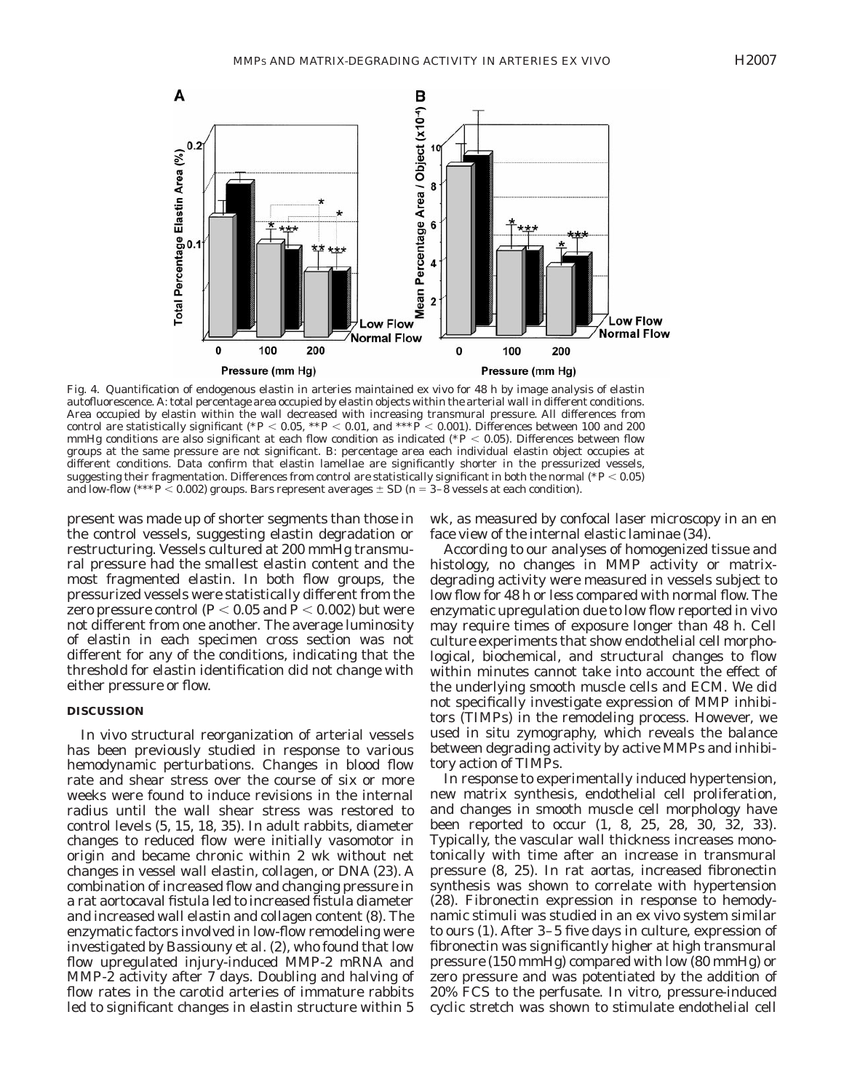

Fig. 4. Quantification of endogenous elastin in arteries maintained ex vivo for 48 h by image analysis of elastin autofluorescence. *A*: total percentage area occupied by elastin objects within the arterial wall in different conditions. Area occupied by elastin within the wall decreased with increasing transmural pressure. All differences from control are statistically significant (\* $P < 0.05$ , \*\* $P < 0.01$ , and \*\*\* $P < 0.001$ ). Differences between 100 and 200 mmHg conditions are also significant at each flow condition as indicated ( $P < 0.05$ ). Differences between flow groups at the same pressure are not significant. *B*: percentage area each individual elastin object occupies at different conditions. Data confirm that elastin lamellae are significantly shorter in the pressurized vessels, suggesting their fragmentation. Differences from control are statistically significant in both the normal (\*  $P$  < 0.05) and low-flow (\*\*\*  $P < 0.002$ ) groups. Bars represent averages  $\pm$  SD ( $n = 3-8$  vessels at each condition).

present was made up of shorter segments than those in the control vessels, suggesting elastin degradation or restructuring. Vessels cultured at 200 mmHg transmural pressure had the smallest elastin content and the most fragmented elastin. In both flow groups, the pressurized vessels were statistically different from the zero pressure control ( $P$  < 0.05 and  $\dot{P}$  < 0.002) but were not different from one another. The average luminosity of elastin in each specimen cross section was not different for any of the conditions, indicating that the threshold for elastin identification did not change with either pressure or flow.

## **DISCUSSION**

In vivo structural reorganization of arterial vessels has been previously studied in response to various hemodynamic perturbations. Changes in blood flow rate and shear stress over the course of six or more weeks were found to induce revisions in the internal radius until the wall shear stress was restored to control levels (5, 15, 18, 35). In adult rabbits, diameter changes to reduced flow were initially vasomotor in origin and became chronic within 2 wk without net changes in vessel wall elastin, collagen, or DNA (23). A combination of increased flow and changing pressure in a rat aortocaval fistula led to increased fistula diameter and increased wall elastin and collagen content (8). The enzymatic factors involved in low-flow remodeling were investigated by Bassiouny et al. (2), who found that low flow upregulated injury-induced MMP-2 mRNA and MMP-2 activity after 7 days. Doubling and halving of flow rates in the carotid arteries of immature rabbits led to significant changes in elastin structure within 5

wk, as measured by confocal laser microscopy in an en face view of the internal elastic laminae (34).

According to our analyses of homogenized tissue and histology, no changes in MMP activity or matrixdegrading activity were measured in vessels subject to low flow for 48 h or less compared with normal flow. The enzymatic upregulation due to low flow reported in vivo may require times of exposure longer than 48 h. Cell culture experiments that show endothelial cell morphological, biochemical, and structural changes to flow within minutes cannot take into account the effect of the underlying smooth muscle cells and ECM. We did not specifically investigate expression of MMP inhibitors (TIMPs) in the remodeling process. However, we used in situ zymography, which reveals the balance between degrading activity by active MMPs and inhibitory action of TIMPs.

In response to experimentally induced hypertension, new matrix synthesis, endothelial cell proliferation, and changes in smooth muscle cell morphology have been reported to occur (1, 8, 25, 28, 30, 32, 33). Typically, the vascular wall thickness increases monotonically with time after an increase in transmural pressure (8, 25). In rat aortas, increased fibronectin synthesis was shown to correlate with hypertension (28). Fibronectin expression in response to hemodynamic stimuli was studied in an ex vivo system similar to ours (1). After 3–5 five days in culture, expression of fibronectin was significantly higher at high transmural pressure (150 mmHg) compared with low (80 mmHg) or zero pressure and was potentiated by the addition of 20% FCS to the perfusate. In vitro, pressure-induced cyclic stretch was shown to stimulate endothelial cell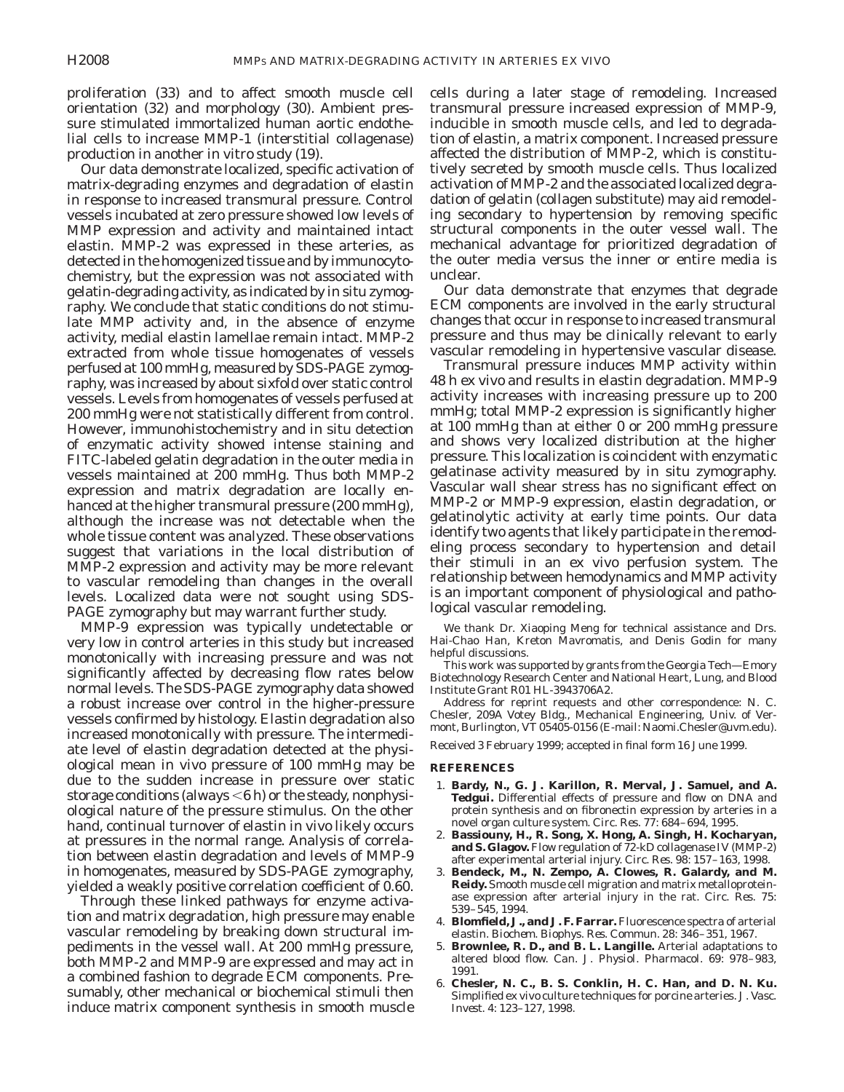proliferation (33) and to affect smooth muscle cell orientation (32) and morphology (30). Ambient pressure stimulated immortalized human aortic endothelial cells to increase MMP-1 (interstitial collagenase) production in another in vitro study (19).

Our data demonstrate localized, specific activation of matrix-degrading enzymes and degradation of elastin in response to increased transmural pressure. Control vessels incubated at zero pressure showed low levels of MMP expression and activity and maintained intact elastin. MMP-2 was expressed in these arteries, as detected in the homogenized tissue and by immunocytochemistry, but the expression was not associated with gelatin-degrading activity, as indicated by in situ zymography. We conclude that static conditions do not stimulate MMP activity and, in the absence of enzyme activity, medial elastin lamellae remain intact. MMP-2 extracted from whole tissue homogenates of vessels perfused at 100 mmHg, measured by SDS-PAGE zymography, was increased by about sixfold over static control vessels. Levels from homogenates of vessels perfused at 200 mmHg were not statistically different from control. However, immunohistochemistry and in situ detection of enzymatic activity showed intense staining and FITC-labeled gelatin degradation in the outer media in vessels maintained at 200 mmHg. Thus both MMP-2 expression and matrix degradation are locally enhanced at the higher transmural pressure (200 mmHg), although the increase was not detectable when the whole tissue content was analyzed. These observations suggest that variations in the local distribution of MMP-2 expression and activity may be more relevant to vascular remodeling than changes in the overall levels. Localized data were not sought using SDS-PAGE zymography but may warrant further study.

MMP-9 expression was typically undetectable or very low in control arteries in this study but increased monotonically with increasing pressure and was not significantly affected by decreasing flow rates below normal levels. The SDS-PAGE zymography data showed a robust increase over control in the higher-pressure vessels confirmed by histology. Elastin degradation also increased monotonically with pressure. The intermediate level of elastin degradation detected at the physiological mean in vivo pressure of 100 mmHg may be due to the sudden increase in pressure over static storage conditions (always  $<\!6$  h) or the steady, nonphysiological nature of the pressure stimulus. On the other hand, continual turnover of elastin in vivo likely occurs at pressures in the normal range. Analysis of correlation between elastin degradation and levels of MMP-9 in homogenates, measured by SDS-PAGE zymography, yielded a weakly positive correlation coefficient of 0.60.

Through these linked pathways for enzyme activation and matrix degradation, high pressure may enable vascular remodeling by breaking down structural impediments in the vessel wall. At 200 mmHg pressure, both MMP-2 and MMP-9 are expressed and may act in a combined fashion to degrade ECM components. Presumably, other mechanical or biochemical stimuli then induce matrix component synthesis in smooth muscle cells during a later stage of remodeling. Increased transmural pressure increased expression of MMP-9, inducible in smooth muscle cells, and led to degradation of elastin, a matrix component. Increased pressure affected the distribution of MMP-2, which is constitutively secreted by smooth muscle cells. Thus localized activation of MMP-2 and the associated localized degradation of gelatin (collagen substitute) may aid remodeling secondary to hypertension by removing specific structural components in the outer vessel wall. The mechanical advantage for prioritized degradation of the outer media versus the inner or entire media is unclear.

Our data demonstrate that enzymes that degrade ECM components are involved in the early structural changes that occur in response to increased transmural pressure and thus may be clinically relevant to early vascular remodeling in hypertensive vascular disease.

Transmural pressure induces MMP activity within 48 h ex vivo and results in elastin degradation. MMP-9 activity increases with increasing pressure up to 200 mmHg; total MMP-2 expression is significantly higher at 100 mmHg than at either 0 or 200 mmHg pressure and shows very localized distribution at the higher pressure. This localization is coincident with enzymatic gelatinase activity measured by in situ zymography. Vascular wall shear stress has no significant effect on MMP-2 or MMP-9 expression, elastin degradation, or gelatinolytic activity at early time points. Our data identify two agents that likely participate in the remodeling process secondary to hypertension and detail their stimuli in an ex vivo perfusion system. The relationship between hemodynamics and MMP activity is an important component of physiological and pathological vascular remodeling.

We thank Dr. Xiaoping Meng for technical assistance and Drs. Hai-Chao Han, Kreton Mavromatis, and Denis Godin for many helpful discussions.

This work was supported by grants from the Georgia Tech—Emory Biotechnology Research Center and National Heart, Lung, and Blood Institute Grant R01 HL-3943706A2.

Address for reprint requests and other correspondence: N. C. Chesler, 209A Votey Bldg., Mechanical Engineering, Univ. of Vermont, Burlington, VT 05405-0156 (E-mail: Naomi.Chesler@uvm.edu).

Received 3 February 1999; accepted in final form 16 June 1999.

#### **REFERENCES**

- 1. **Bardy, N., G. J. Karillon, R. Merval, J. Samuel, and A. Tedgui.** Differential effects of pressure and flow on DNA and protein synthesis and on fibronectin expression by arteries in a novel organ culture system. *Circ. Res*. 77: 684–694, 1995.
- 2. **Bassiouny, H., R. Song, X. Hong, A. Singh, H. Kocharyan, and S. Glagov.** Flow regulation of 72-kD collagenase IV (MMP-2) after experimental arterial injury. *Circ. Res*. 98: 157–163, 1998.
- 3. **Bendeck, M., N. Zempo, A. Clowes, R. Galardy, and M. Reidy.** Smooth muscle cell migration and matrix metalloproteinase expression after arterial injury in the rat. *Circ. Res*. 75: 539–545, 1994.
- 4. **Blomfield, J., and J. F. Farrar.** Fluorescence spectra of arterial elastin. *Biochem. Biophys. Res. Commun*. 28: 346–351, 1967.
- 5. **Brownlee, R. D., and B. L. Langille.** Arterial adaptations to altered blood flow. *Can. J. Physiol. Pharmacol*. 69: 978–983, 1991.
- 6. **Chesler, N. C., B. S. Conklin, H. C. Han, and D. N. Ku.** Simplified ex vivo culture techniques for porcine arteries. *J. Vasc. Invest*. 4: 123–127, 1998.